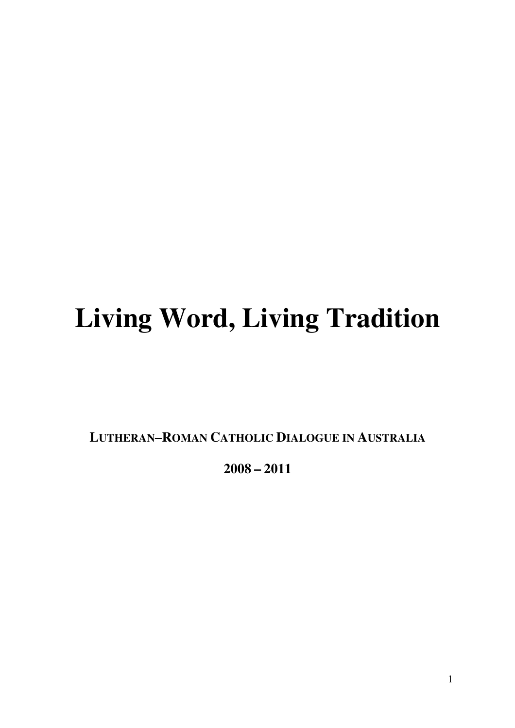# **Living Word, Living Tradition**

**LUTHERAN–ROMAN CATHOLIC DIALOGUE IN AUSTRALIA**

**2008 – 2011**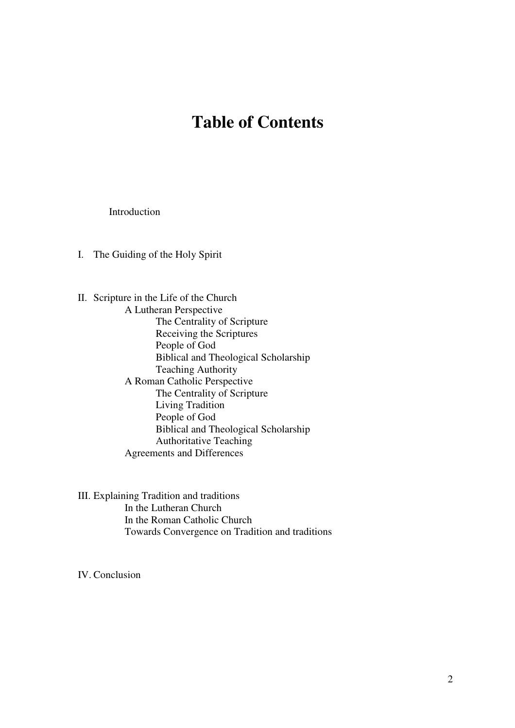# **Table of Contents**

Introduction

I. The Guiding of the Holy Spirit

II. Scripture in the Life of the Church A Lutheran Perspective The Centrality of Scripture Receiving the Scriptures People of God Biblical and Theological Scholarship Teaching Authority A Roman Catholic Perspective The Centrality of Scripture Living Tradition People of God Biblical and Theological Scholarship Authoritative Teaching Agreements and Differences

III. Explaining Tradition and traditions In the Lutheran Church In the Roman Catholic Church Towards Convergence on Tradition and traditions

IV. Conclusion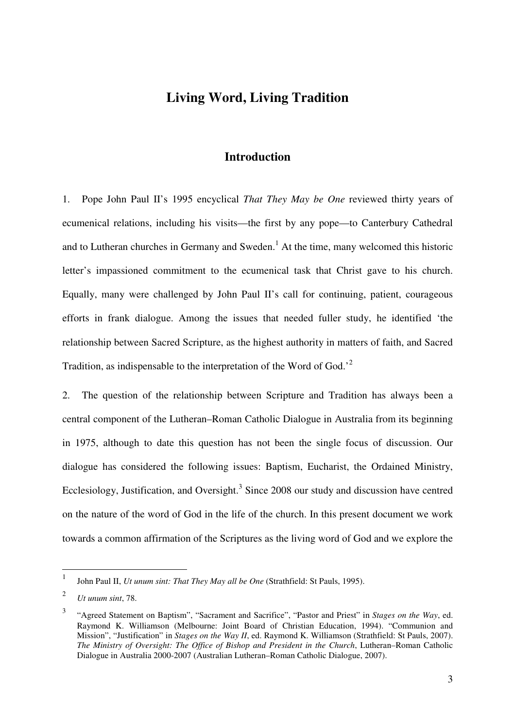# **Living Word, Living Tradition**

# **Introduction**

1. Pope John Paul II's 1995 encyclical *That They May be One* reviewed thirty years of ecumenical relations, including his visits—the first by any pope—to Canterbury Cathedral and to Lutheran churches in Germany and Sweden.<sup>1</sup> At the time, many welcomed this historic letter's impassioned commitment to the ecumenical task that Christ gave to his church. Equally, many were challenged by John Paul II's call for continuing, patient, courageous efforts in frank dialogue. Among the issues that needed fuller study, he identified 'the relationship between Sacred Scripture, as the highest authority in matters of faith, and Sacred Tradition, as indispensable to the interpretation of the Word of God.<sup>2</sup>

2. The question of the relationship between Scripture and Tradition has always been a central component of the Lutheran–Roman Catholic Dialogue in Australia from its beginning in 1975, although to date this question has not been the single focus of discussion. Our dialogue has considered the following issues: Baptism, Eucharist, the Ordained Ministry, Ecclesiology, Justification, and Oversight.<sup>3</sup> Since 2008 our study and discussion have centred on the nature of the word of God in the life of the church. In this present document we work towards a common affirmation of the Scriptures as the living word of God and we explore the

 $\frac{1}{1}$ John Paul II, *Ut unum sint: That They May all be One* (Strathfield: St Pauls, 1995).

<sup>2</sup> *Ut unum sint*, 78.

<sup>3</sup> "Agreed Statement on Baptism", "Sacrament and Sacrifice", "Pastor and Priest" in *Stages on the Way*, ed. Raymond K. Williamson (Melbourne: Joint Board of Christian Education, 1994). "Communion and Mission", "Justification" in *Stages on the Way II*, ed. Raymond K. Williamson (Strathfield: St Pauls, 2007). *The Ministry of Oversight: The Office of Bishop and President in the Church*, Lutheran–Roman Catholic Dialogue in Australia 2000-2007 (Australian Lutheran–Roman Catholic Dialogue, 2007).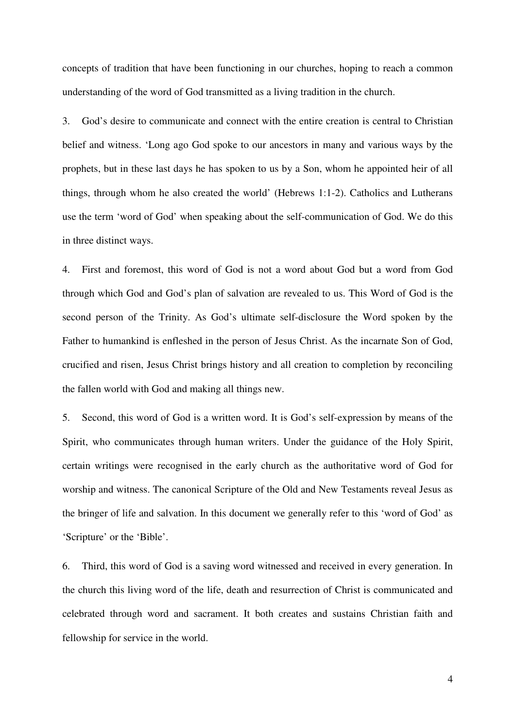concepts of tradition that have been functioning in our churches, hoping to reach a common understanding of the word of God transmitted as a living tradition in the church.

3. God's desire to communicate and connect with the entire creation is central to Christian belief and witness. 'Long ago God spoke to our ancestors in many and various ways by the prophets, but in these last days he has spoken to us by a Son, whom he appointed heir of all things, through whom he also created the world' (Hebrews 1:1-2). Catholics and Lutherans use the term 'word of God' when speaking about the self-communication of God. We do this in three distinct ways.

4. First and foremost, this word of God is not a word about God but a word from God through which God and God's plan of salvation are revealed to us. This Word of God is the second person of the Trinity. As God's ultimate self-disclosure the Word spoken by the Father to humankind is enfleshed in the person of Jesus Christ. As the incarnate Son of God, crucified and risen, Jesus Christ brings history and all creation to completion by reconciling the fallen world with God and making all things new.

5. Second, this word of God is a written word. It is God's self-expression by means of the Spirit, who communicates through human writers. Under the guidance of the Holy Spirit, certain writings were recognised in the early church as the authoritative word of God for worship and witness. The canonical Scripture of the Old and New Testaments reveal Jesus as the bringer of life and salvation. In this document we generally refer to this 'word of God' as 'Scripture' or the 'Bible'.

6. Third, this word of God is a saving word witnessed and received in every generation. In the church this living word of the life, death and resurrection of Christ is communicated and celebrated through word and sacrament. It both creates and sustains Christian faith and fellowship for service in the world.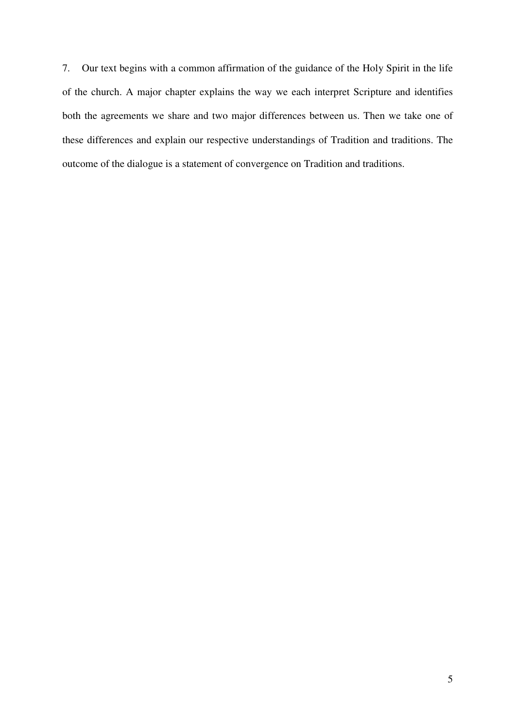7. Our text begins with a common affirmation of the guidance of the Holy Spirit in the life of the church. A major chapter explains the way we each interpret Scripture and identifies both the agreements we share and two major differences between us. Then we take one of these differences and explain our respective understandings of Tradition and traditions. The outcome of the dialogue is a statement of convergence on Tradition and traditions.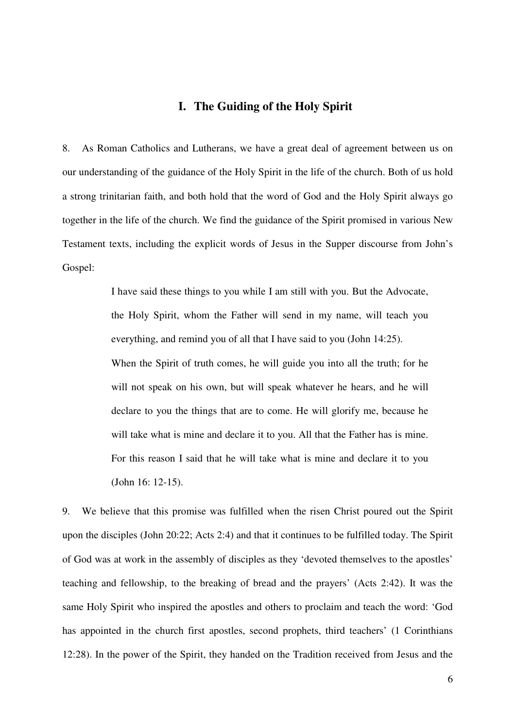#### **I. The Guiding of the Holy Spirit**

8. As Roman Catholics and Lutherans, we have a great deal of agreement between us on our understanding of the guidance of the Holy Spirit in the life of the church. Both of us hold a strong trinitarian faith, and both hold that the word of God and the Holy Spirit always go together in the life of the church. We find the guidance of the Spirit promised in various New Testament texts, including the explicit words of Jesus in the Supper discourse from John's Gospel:

> I have said these things to you while I am still with you. But the Advocate, the Holy Spirit, whom the Father will send in my name, will teach you everything, and remind you of all that I have said to you (John 14:25). When the Spirit of truth comes, he will guide you into all the truth; for he will not speak on his own, but will speak whatever he hears, and he will declare to you the things that are to come. He will glorify me, because he will take what is mine and declare it to you. All that the Father has is mine. For this reason I said that he will take what is mine and declare it to you (John 16: 12-15).

9. We believe that this promise was fulfilled when the risen Christ poured out the Spirit upon the disciples (John 20:22; Acts 2:4) and that it continues to be fulfilled today. The Spirit of God was at work in the assembly of disciples as they 'devoted themselves to the apostles' teaching and fellowship, to the breaking of bread and the prayers' (Acts 2:42). It was the same Holy Spirit who inspired the apostles and others to proclaim and teach the word: 'God has appointed in the church first apostles, second prophets, third teachers' (1 Corinthians 12:28). In the power of the Spirit, they handed on the Tradition received from Jesus and the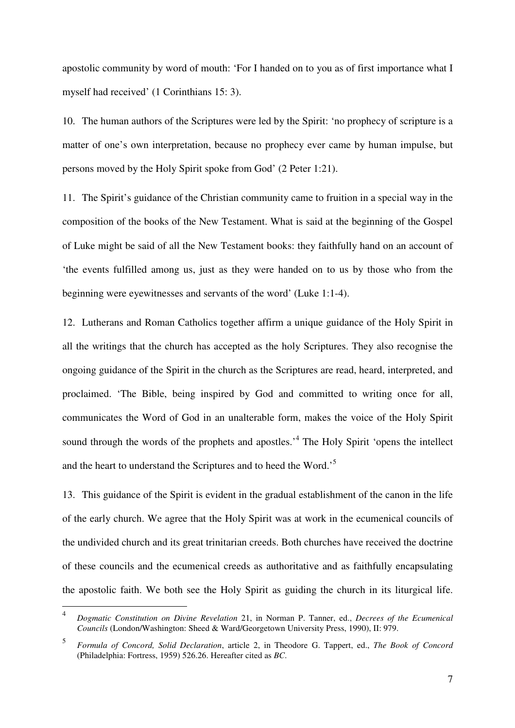apostolic community by word of mouth: 'For I handed on to you as of first importance what I myself had received' (1 Corinthians 15: 3).

10. The human authors of the Scriptures were led by the Spirit: 'no prophecy of scripture is a matter of one's own interpretation, because no prophecy ever came by human impulse, but persons moved by the Holy Spirit spoke from God' (2 Peter 1:21).

11. The Spirit's guidance of the Christian community came to fruition in a special way in the composition of the books of the New Testament. What is said at the beginning of the Gospel of Luke might be said of all the New Testament books: they faithfully hand on an account of 'the events fulfilled among us, just as they were handed on to us by those who from the beginning were eyewitnesses and servants of the word' (Luke 1:1-4).

12. Lutherans and Roman Catholics together affirm a unique guidance of the Holy Spirit in all the writings that the church has accepted as the holy Scriptures. They also recognise the ongoing guidance of the Spirit in the church as the Scriptures are read, heard, interpreted, and proclaimed. 'The Bible, being inspired by God and committed to writing once for all, communicates the Word of God in an unalterable form, makes the voice of the Holy Spirit sound through the words of the prophets and apostles.<sup>4</sup> The Holy Spirit 'opens the intellect and the heart to understand the Scriptures and to heed the Word.'<sup>5</sup>

13. This guidance of the Spirit is evident in the gradual establishment of the canon in the life of the early church. We agree that the Holy Spirit was at work in the ecumenical councils of the undivided church and its great trinitarian creeds. Both churches have received the doctrine of these councils and the ecumenical creeds as authoritative and as faithfully encapsulating the apostolic faith. We both see the Holy Spirit as guiding the church in its liturgical life.

 $\frac{1}{4}$  *Dogmatic Constitution on Divine Revelation* 21, in Norman P. Tanner, ed., *Decrees of the Ecumenical Councils* (London/Washington: Sheed & Ward/Georgetown University Press, 1990), II: 979.

<sup>5</sup> *Formula of Concord, Solid Declaration*, article 2, in Theodore G. Tappert, ed., *The Book of Concord*  (Philadelphia: Fortress, 1959) 526.26. Hereafter cited as *BC*.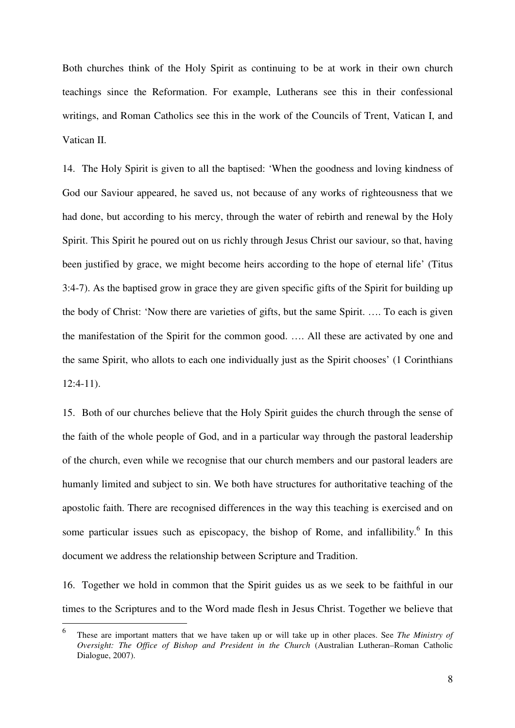Both churches think of the Holy Spirit as continuing to be at work in their own church teachings since the Reformation. For example, Lutherans see this in their confessional writings, and Roman Catholics see this in the work of the Councils of Trent, Vatican I, and Vatican II.

14. The Holy Spirit is given to all the baptised: 'When the goodness and loving kindness of God our Saviour appeared, he saved us, not because of any works of righteousness that we had done, but according to his mercy, through the water of rebirth and renewal by the Holy Spirit. This Spirit he poured out on us richly through Jesus Christ our saviour, so that, having been justified by grace, we might become heirs according to the hope of eternal life' (Titus 3:4-7). As the baptised grow in grace they are given specific gifts of the Spirit for building up the body of Christ: 'Now there are varieties of gifts, but the same Spirit. …. To each is given the manifestation of the Spirit for the common good. …. All these are activated by one and the same Spirit, who allots to each one individually just as the Spirit chooses' (1 Corinthians 12:4-11).

15. Both of our churches believe that the Holy Spirit guides the church through the sense of the faith of the whole people of God, and in a particular way through the pastoral leadership of the church, even while we recognise that our church members and our pastoral leaders are humanly limited and subject to sin. We both have structures for authoritative teaching of the apostolic faith. There are recognised differences in the way this teaching is exercised and on some particular issues such as episcopacy, the bishop of Rome, and infallibility. $<sup>6</sup>$  In this</sup> document we address the relationship between Scripture and Tradition.

16. Together we hold in common that the Spirit guides us as we seek to be faithful in our times to the Scriptures and to the Word made flesh in Jesus Christ. Together we believe that

 6 These are important matters that we have taken up or will take up in other places. See *The Ministry of Oversight: The Office of Bishop and President in the Church* (Australian Lutheran–Roman Catholic Dialogue, 2007).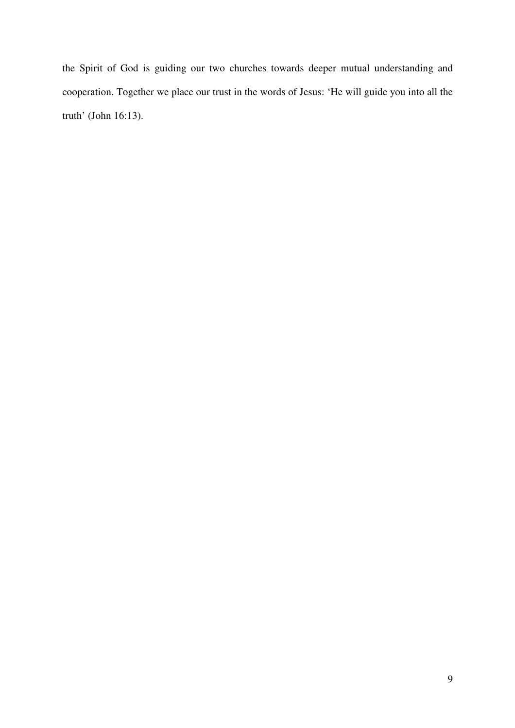the Spirit of God is guiding our two churches towards deeper mutual understanding and cooperation. Together we place our trust in the words of Jesus: 'He will guide you into all the truth' (John 16:13).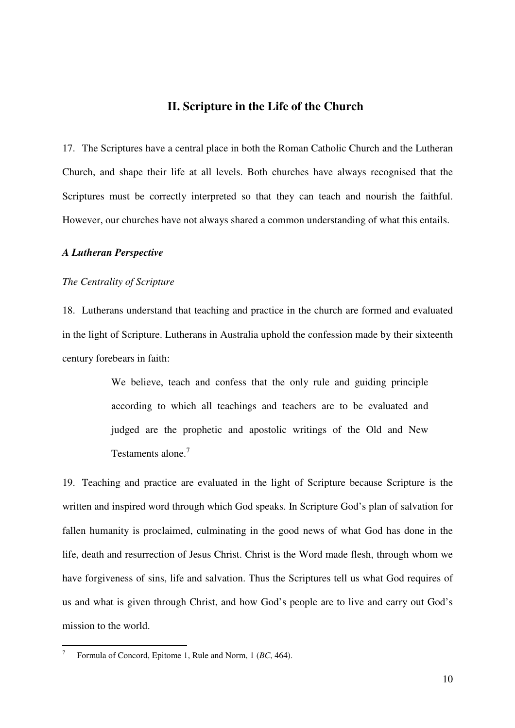#### **II. Scripture in the Life of the Church**

17. The Scriptures have a central place in both the Roman Catholic Church and the Lutheran Church, and shape their life at all levels. Both churches have always recognised that the Scriptures must be correctly interpreted so that they can teach and nourish the faithful. However, our churches have not always shared a common understanding of what this entails.

#### *A Lutheran Perspective*

#### *The Centrality of Scripture*

18. Lutherans understand that teaching and practice in the church are formed and evaluated in the light of Scripture. Lutherans in Australia uphold the confession made by their sixteenth century forebears in faith:

> We believe, teach and confess that the only rule and guiding principle according to which all teachings and teachers are to be evaluated and judged are the prophetic and apostolic writings of the Old and New Testaments alone.<sup>7</sup>

19. Teaching and practice are evaluated in the light of Scripture because Scripture is the written and inspired word through which God speaks. In Scripture God's plan of salvation for fallen humanity is proclaimed, culminating in the good news of what God has done in the life, death and resurrection of Jesus Christ. Christ is the Word made flesh, through whom we have forgiveness of sins, life and salvation. Thus the Scriptures tell us what God requires of us and what is given through Christ, and how God's people are to live and carry out God's mission to the world.

 $\overline{a}$ 

<sup>7</sup>Formula of Concord, Epitome 1, Rule and Norm, 1 (*BC*, 464).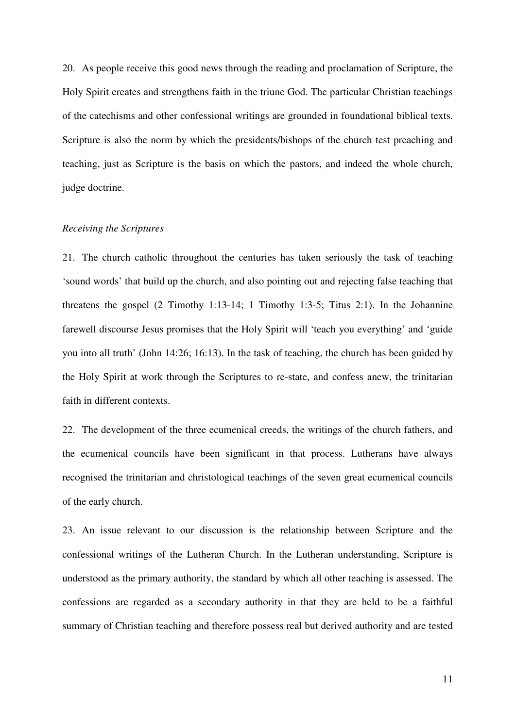20. As people receive this good news through the reading and proclamation of Scripture, the Holy Spirit creates and strengthens faith in the triune God. The particular Christian teachings of the catechisms and other confessional writings are grounded in foundational biblical texts. Scripture is also the norm by which the presidents/bishops of the church test preaching and teaching, just as Scripture is the basis on which the pastors, and indeed the whole church, judge doctrine.

#### *Receiving the Scriptures*

21. The church catholic throughout the centuries has taken seriously the task of teaching 'sound words' that build up the church, and also pointing out and rejecting false teaching that threatens the gospel (2 Timothy 1:13-14; 1 Timothy 1:3-5; Titus 2:1). In the Johannine farewell discourse Jesus promises that the Holy Spirit will 'teach you everything' and 'guide you into all truth' (John 14:26; 16:13). In the task of teaching, the church has been guided by the Holy Spirit at work through the Scriptures to re-state, and confess anew, the trinitarian faith in different contexts.

22. The development of the three ecumenical creeds, the writings of the church fathers, and the ecumenical councils have been significant in that process. Lutherans have always recognised the trinitarian and christological teachings of the seven great ecumenical councils of the early church.

23. An issue relevant to our discussion is the relationship between Scripture and the confessional writings of the Lutheran Church. In the Lutheran understanding, Scripture is understood as the primary authority, the standard by which all other teaching is assessed. The confessions are regarded as a secondary authority in that they are held to be a faithful summary of Christian teaching and therefore possess real but derived authority and are tested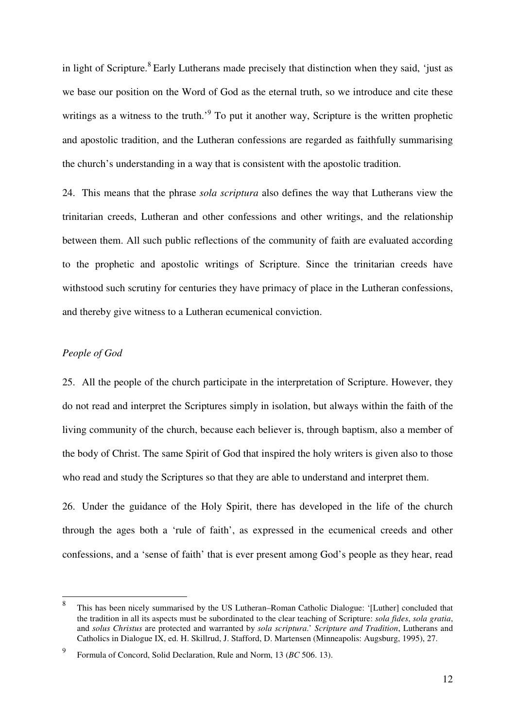in light of Scripture.<sup>8</sup> Early Lutherans made precisely that distinction when they said, 'just as we base our position on the Word of God as the eternal truth, so we introduce and cite these writings as a witness to the truth.<sup>9</sup> To put it another way, Scripture is the written prophetic and apostolic tradition, and the Lutheran confessions are regarded as faithfully summarising the church's understanding in a way that is consistent with the apostolic tradition.

24. This means that the phrase *sola scriptura* also defines the way that Lutherans view the trinitarian creeds, Lutheran and other confessions and other writings, and the relationship between them. All such public reflections of the community of faith are evaluated according to the prophetic and apostolic writings of Scripture. Since the trinitarian creeds have withstood such scrutiny for centuries they have primacy of place in the Lutheran confessions, and thereby give witness to a Lutheran ecumenical conviction.

#### *People of God*

25. All the people of the church participate in the interpretation of Scripture. However, they do not read and interpret the Scriptures simply in isolation, but always within the faith of the living community of the church, because each believer is, through baptism, also a member of the body of Christ. The same Spirit of God that inspired the holy writers is given also to those who read and study the Scriptures so that they are able to understand and interpret them.

26. Under the guidance of the Holy Spirit, there has developed in the life of the church through the ages both a 'rule of faith', as expressed in the ecumenical creeds and other confessions, and a 'sense of faith' that is ever present among God's people as they hear, read

 $\,8\,$ <sup>8</sup>This has been nicely summarised by the US Lutheran–Roman Catholic Dialogue: '[Luther] concluded that the tradition in all its aspects must be subordinated to the clear teaching of Scripture: *sola fides*, *sola gratia*, and *solus Christus* are protected and warranted by *sola scriptura*.' *Scripture and Tradition*, Lutherans and Catholics in Dialogue IX, ed. H. Skillrud, J. Stafford, D. Martensen (Minneapolis: Augsburg, 1995), 27.

<sup>9</sup>Formula of Concord, Solid Declaration, Rule and Norm, 13 (*BC* 506. 13).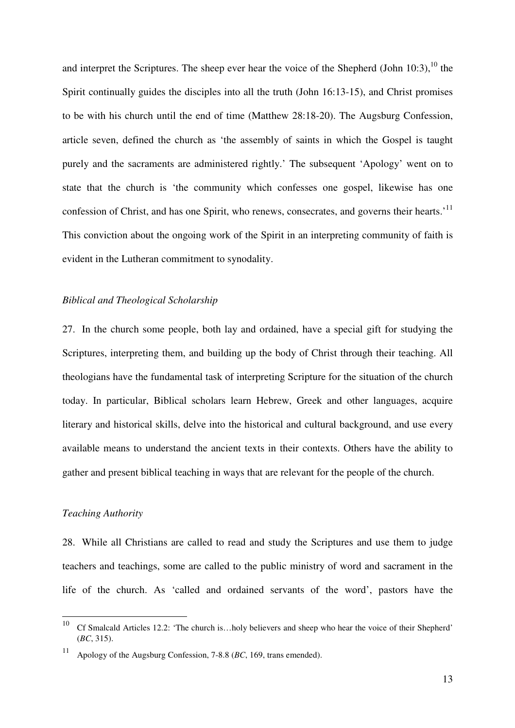and interpret the Scriptures. The sheep ever hear the voice of the Shepherd (John 10:3), $^{10}$  the Spirit continually guides the disciples into all the truth (John 16:13-15), and Christ promises to be with his church until the end of time (Matthew 28:18-20). The Augsburg Confession, article seven, defined the church as 'the assembly of saints in which the Gospel is taught purely and the sacraments are administered rightly.' The subsequent 'Apology' went on to state that the church is 'the community which confesses one gospel, likewise has one confession of Christ, and has one Spirit, who renews, consecrates, and governs their hearts.<sup>'11</sup> This conviction about the ongoing work of the Spirit in an interpreting community of faith is evident in the Lutheran commitment to synodality.

#### *Biblical and Theological Scholarship*

27. In the church some people, both lay and ordained, have a special gift for studying the Scriptures, interpreting them, and building up the body of Christ through their teaching. All theologians have the fundamental task of interpreting Scripture for the situation of the church today. In particular, Biblical scholars learn Hebrew, Greek and other languages, acquire literary and historical skills, delve into the historical and cultural background, and use every available means to understand the ancient texts in their contexts. Others have the ability to gather and present biblical teaching in ways that are relevant for the people of the church.

#### *Teaching Authority*

28. While all Christians are called to read and study the Scriptures and use them to judge teachers and teachings, some are called to the public ministry of word and sacrament in the life of the church. As 'called and ordained servants of the word', pastors have the

<sup>10</sup> <sup>10</sup> Cf Smalcald Articles 12.2: 'The church is…holy believers and sheep who hear the voice of their Shepherd' (*BC*, 315).

<sup>11</sup> Apology of the Augsburg Confession, 7-8.8 (*BC*, 169, trans emended).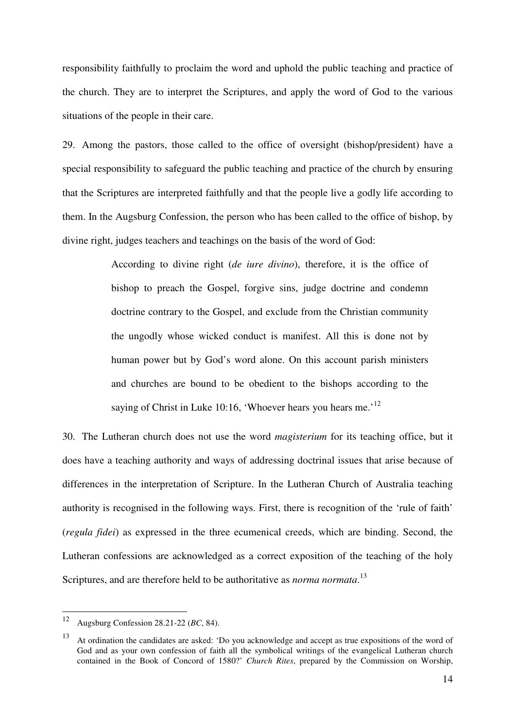responsibility faithfully to proclaim the word and uphold the public teaching and practice of the church. They are to interpret the Scriptures, and apply the word of God to the various situations of the people in their care.

29. Among the pastors, those called to the office of oversight (bishop/president) have a special responsibility to safeguard the public teaching and practice of the church by ensuring that the Scriptures are interpreted faithfully and that the people live a godly life according to them. In the Augsburg Confession, the person who has been called to the office of bishop, by divine right, judges teachers and teachings on the basis of the word of God:

> According to divine right (*de iure divino*), therefore, it is the office of bishop to preach the Gospel, forgive sins, judge doctrine and condemn doctrine contrary to the Gospel, and exclude from the Christian community the ungodly whose wicked conduct is manifest. All this is done not by human power but by God's word alone. On this account parish ministers and churches are bound to be obedient to the bishops according to the saying of Christ in Luke 10:16, 'Whoever hears you hears me.'<sup>12</sup>

30. The Lutheran church does not use the word *magisterium* for its teaching office, but it does have a teaching authority and ways of addressing doctrinal issues that arise because of differences in the interpretation of Scripture. In the Lutheran Church of Australia teaching authority is recognised in the following ways. First, there is recognition of the 'rule of faith' (*regula fidei*) as expressed in the three ecumenical creeds, which are binding. Second, the Lutheran confessions are acknowledged as a correct exposition of the teaching of the holy Scriptures, and are therefore held to be authoritative as *norma normata*. 13

<sup>12</sup> <sup>12</sup> Augsburg Confession 28.21-22 (*BC*, 84).

<sup>13</sup> At ordination the candidates are asked: 'Do you acknowledge and accept as true expositions of the word of God and as your own confession of faith all the symbolical writings of the evangelical Lutheran church contained in the Book of Concord of 1580?' *Church Rites*, prepared by the Commission on Worship,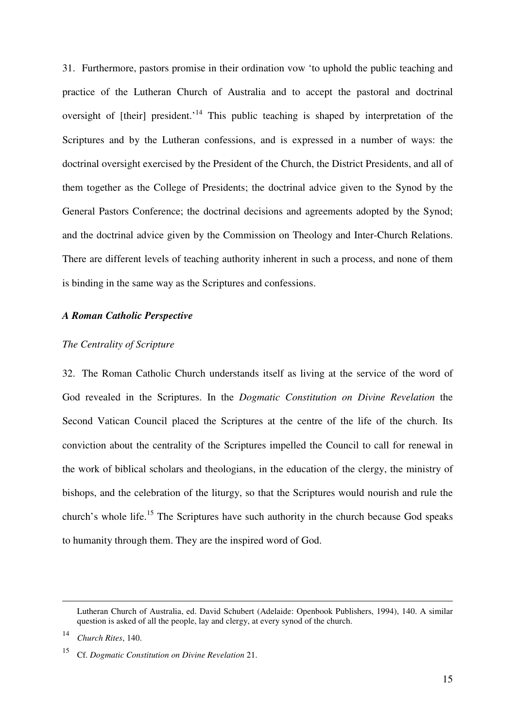31. Furthermore, pastors promise in their ordination vow 'to uphold the public teaching and practice of the Lutheran Church of Australia and to accept the pastoral and doctrinal oversight of [their] president.<sup>14</sup> This public teaching is shaped by interpretation of the Scriptures and by the Lutheran confessions, and is expressed in a number of ways: the doctrinal oversight exercised by the President of the Church, the District Presidents, and all of them together as the College of Presidents; the doctrinal advice given to the Synod by the General Pastors Conference; the doctrinal decisions and agreements adopted by the Synod; and the doctrinal advice given by the Commission on Theology and Inter-Church Relations. There are different levels of teaching authority inherent in such a process, and none of them is binding in the same way as the Scriptures and confessions.

#### *A Roman Catholic Perspective*

#### *The Centrality of Scripture*

32. The Roman Catholic Church understands itself as living at the service of the word of God revealed in the Scriptures. In the *Dogmatic Constitution on Divine Revelation* the Second Vatican Council placed the Scriptures at the centre of the life of the church. Its conviction about the centrality of the Scriptures impelled the Council to call for renewal in the work of biblical scholars and theologians, in the education of the clergy, the ministry of bishops, and the celebration of the liturgy, so that the Scriptures would nourish and rule the church's whole life.<sup>15</sup> The Scriptures have such authority in the church because God speaks to humanity through them. They are the inspired word of God.

 $\overline{a}$ 

Lutheran Church of Australia, ed. David Schubert (Adelaide: Openbook Publishers, 1994), 140. A similar question is asked of all the people, lay and clergy, at every synod of the church.

<sup>14</sup> *Church Rites*, 140.

<sup>15</sup> Cf. *Dogmatic Constitution on Divine Revelation* 21.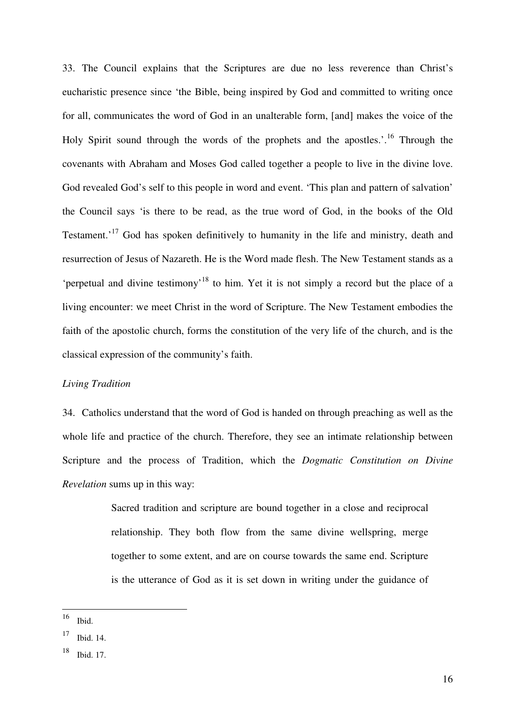33. The Council explains that the Scriptures are due no less reverence than Christ's eucharistic presence since 'the Bible, being inspired by God and committed to writing once for all, communicates the word of God in an unalterable form, [and] makes the voice of the Holy Spirit sound through the words of the prophets and the apostles.<sup> $16$ </sup> Through the covenants with Abraham and Moses God called together a people to live in the divine love. God revealed God's self to this people in word and event. 'This plan and pattern of salvation' the Council says 'is there to be read, as the true word of God, in the books of the Old Testament.'<sup>17</sup> God has spoken definitively to humanity in the life and ministry, death and resurrection of Jesus of Nazareth. He is the Word made flesh. The New Testament stands as a 'perpetual and divine testimony'<sup>18</sup> to him. Yet it is not simply a record but the place of a living encounter: we meet Christ in the word of Scripture. The New Testament embodies the faith of the apostolic church, forms the constitution of the very life of the church, and is the classical expression of the community's faith.

#### *Living Tradition*

34. Catholics understand that the word of God is handed on through preaching as well as the whole life and practice of the church. Therefore, they see an intimate relationship between Scripture and the process of Tradition, which the *Dogmatic Constitution on Divine Revelation* sums up in this way:

> Sacred tradition and scripture are bound together in a close and reciprocal relationship. They both flow from the same divine wellspring, merge together to some extent, and are on course towards the same end. Scripture is the utterance of God as it is set down in writing under the guidance of

<sup>16</sup> Ibid.

<sup>17</sup> Ibid. 14.

<sup>18</sup> Ibid. 17.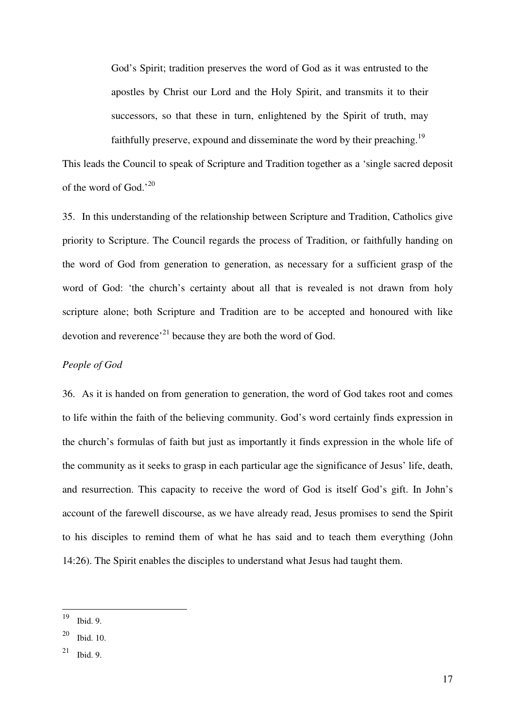God's Spirit; tradition preserves the word of God as it was entrusted to the apostles by Christ our Lord and the Holy Spirit, and transmits it to their successors, so that these in turn, enlightened by the Spirit of truth, may faithfully preserve, expound and disseminate the word by their preaching.<sup>19</sup>

This leads the Council to speak of Scripture and Tradition together as a 'single sacred deposit of the word of God.'<sup>20</sup>

35. In this understanding of the relationship between Scripture and Tradition, Catholics give priority to Scripture. The Council regards the process of Tradition, or faithfully handing on the word of God from generation to generation, as necessary for a sufficient grasp of the word of God: 'the church's certainty about all that is revealed is not drawn from holy scripture alone; both Scripture and Tradition are to be accepted and honoured with like devotion and reverence<sup> $21$ </sup> because they are both the word of God.

#### *People of God*

36. As it is handed on from generation to generation, the word of God takes root and comes to life within the faith of the believing community. God's word certainly finds expression in the church's formulas of faith but just as importantly it finds expression in the whole life of the community as it seeks to grasp in each particular age the significance of Jesus' life, death, and resurrection. This capacity to receive the word of God is itself God's gift. In John's account of the farewell discourse, as we have already read, Jesus promises to send the Spirit to his disciples to remind them of what he has said and to teach them everything (John 14:26). The Spirit enables the disciples to understand what Jesus had taught them.

<sup>19</sup> Ibid. 9.

 $20$  Ibid. 10.

 $21$  Ibid. 9.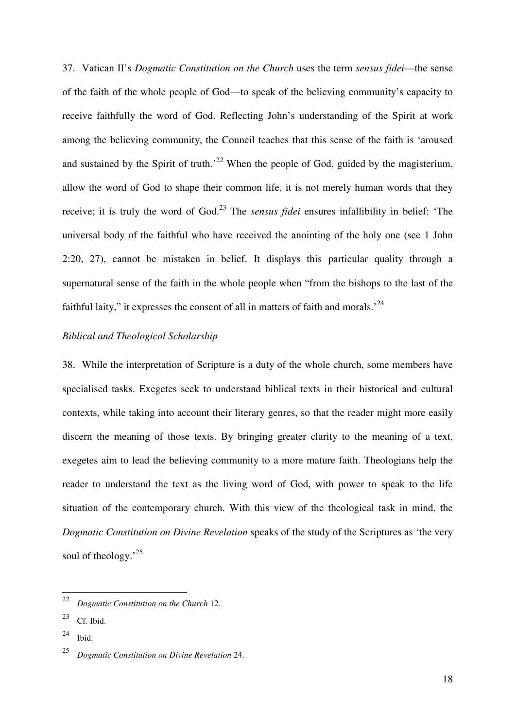37. Vatican II's *Dogmatic Constitution on the Church* uses the term *sensus fidei*—the sense of the faith of the whole people of God—to speak of the believing community's capacity to receive faithfully the word of God. Reflecting John's understanding of the Spirit at work among the believing community, the Council teaches that this sense of the faith is 'aroused and sustained by the Spirit of truth.<sup>22</sup> When the people of God, guided by the magisterium, allow the word of God to shape their common life, it is not merely human words that they receive; it is truly the word of God.<sup>23</sup> The *sensus fidei* ensures infallibility in belief: 'The universal body of the faithful who have received the anointing of the holy one (see 1 John 2:20, 27), cannot be mistaken in belief. It displays this particular quality through a supernatural sense of the faith in the whole people when "from the bishops to the last of the faithful laity," it expresses the consent of all in matters of faith and morals.'<sup>24</sup>

## *Biblical and Theological Scholarship*

38. While the interpretation of Scripture is a duty of the whole church, some members have specialised tasks. Exegetes seek to understand biblical texts in their historical and cultural contexts, while taking into account their literary genres, so that the reader might more easily discern the meaning of those texts. By bringing greater clarity to the meaning of a text, exegetes aim to lead the believing community to a more mature faith. Theologians help the reader to understand the text as the living word of God, with power to speak to the life situation of the contemporary church. With this view of the theological task in mind, the *Dogmatic Constitution on Divine Revelation* speaks of the study of the Scriptures as 'the very soul of theology.<sup>25</sup>

 $^{24}$  Ibid.

 $\frac{1}{22}$ *Dogmatic Constitution on the Church* 12.

 $23$  Cf. Ibid.

<sup>25</sup> *Dogmatic Constitution on Divine Revelation* 24.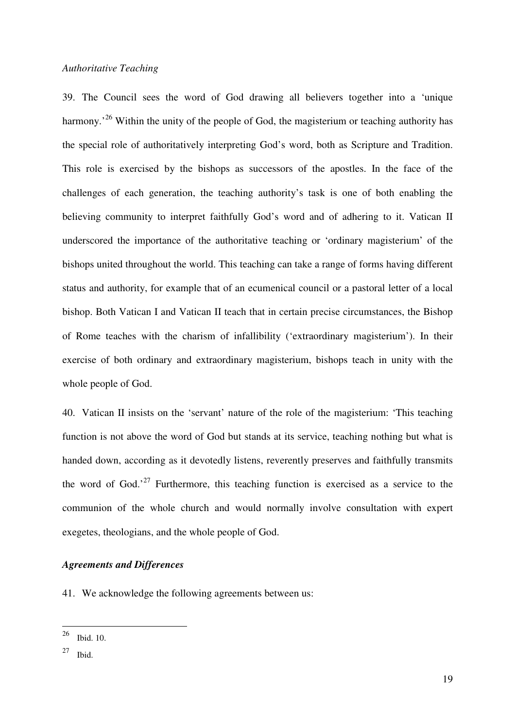#### *Authoritative Teaching*

39. The Council sees the word of God drawing all believers together into a 'unique harmony.<sup>26</sup> Within the unity of the people of God, the magisterium or teaching authority has the special role of authoritatively interpreting God's word, both as Scripture and Tradition. This role is exercised by the bishops as successors of the apostles. In the face of the challenges of each generation, the teaching authority's task is one of both enabling the believing community to interpret faithfully God's word and of adhering to it. Vatican II underscored the importance of the authoritative teaching or 'ordinary magisterium' of the bishops united throughout the world. This teaching can take a range of forms having different status and authority, for example that of an ecumenical council or a pastoral letter of a local bishop. Both Vatican I and Vatican II teach that in certain precise circumstances, the Bishop of Rome teaches with the charism of infallibility ('extraordinary magisterium'). In their exercise of both ordinary and extraordinary magisterium, bishops teach in unity with the whole people of God.

40. Vatican II insists on the 'servant' nature of the role of the magisterium: 'This teaching function is not above the word of God but stands at its service, teaching nothing but what is handed down, according as it devotedly listens, reverently preserves and faithfully transmits the word of God. $27$  Furthermore, this teaching function is exercised as a service to the communion of the whole church and would normally involve consultation with expert exegetes, theologians, and the whole people of God.

#### *Agreements and Differences*

41. We acknowledge the following agreements between us:

<sup>26</sup> **Ibid.** 10.

<sup>27</sup> Ibid.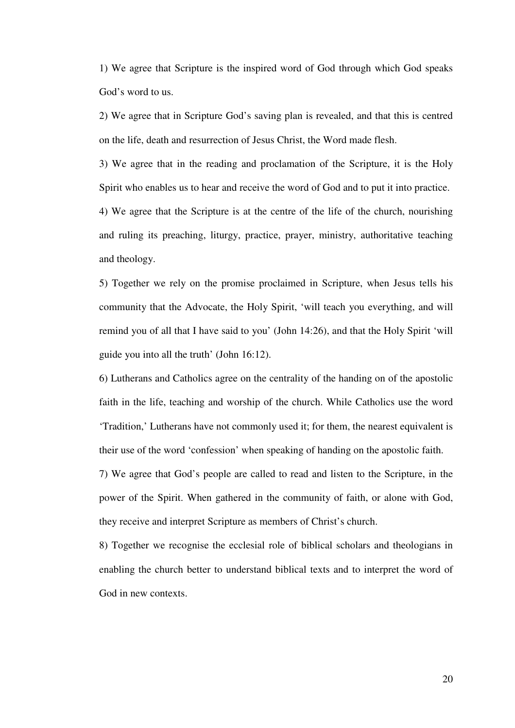1) We agree that Scripture is the inspired word of God through which God speaks God's word to us.

2) We agree that in Scripture God's saving plan is revealed, and that this is centred on the life, death and resurrection of Jesus Christ, the Word made flesh.

3) We agree that in the reading and proclamation of the Scripture, it is the Holy Spirit who enables us to hear and receive the word of God and to put it into practice.

4) We agree that the Scripture is at the centre of the life of the church, nourishing and ruling its preaching, liturgy, practice, prayer, ministry, authoritative teaching and theology.

5) Together we rely on the promise proclaimed in Scripture, when Jesus tells his community that the Advocate, the Holy Spirit, 'will teach you everything, and will remind you of all that I have said to you' (John 14:26), and that the Holy Spirit 'will guide you into all the truth' (John 16:12).

6) Lutherans and Catholics agree on the centrality of the handing on of the apostolic faith in the life, teaching and worship of the church. While Catholics use the word 'Tradition,' Lutherans have not commonly used it; for them, the nearest equivalent is their use of the word 'confession' when speaking of handing on the apostolic faith.

7) We agree that God's people are called to read and listen to the Scripture, in the power of the Spirit. When gathered in the community of faith, or alone with God, they receive and interpret Scripture as members of Christ's church.

8) Together we recognise the ecclesial role of biblical scholars and theologians in enabling the church better to understand biblical texts and to interpret the word of God in new contexts.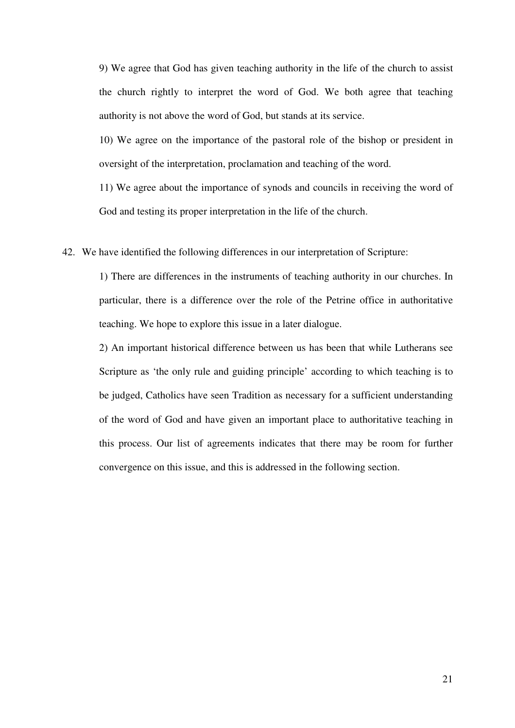9) We agree that God has given teaching authority in the life of the church to assist the church rightly to interpret the word of God. We both agree that teaching authority is not above the word of God, but stands at its service.

10) We agree on the importance of the pastoral role of the bishop or president in oversight of the interpretation, proclamation and teaching of the word.

11) We agree about the importance of synods and councils in receiving the word of God and testing its proper interpretation in the life of the church.

42. We have identified the following differences in our interpretation of Scripture:

1) There are differences in the instruments of teaching authority in our churches. In particular, there is a difference over the role of the Petrine office in authoritative teaching. We hope to explore this issue in a later dialogue.

2) An important historical difference between us has been that while Lutherans see Scripture as 'the only rule and guiding principle' according to which teaching is to be judged, Catholics have seen Tradition as necessary for a sufficient understanding of the word of God and have given an important place to authoritative teaching in this process. Our list of agreements indicates that there may be room for further convergence on this issue, and this is addressed in the following section.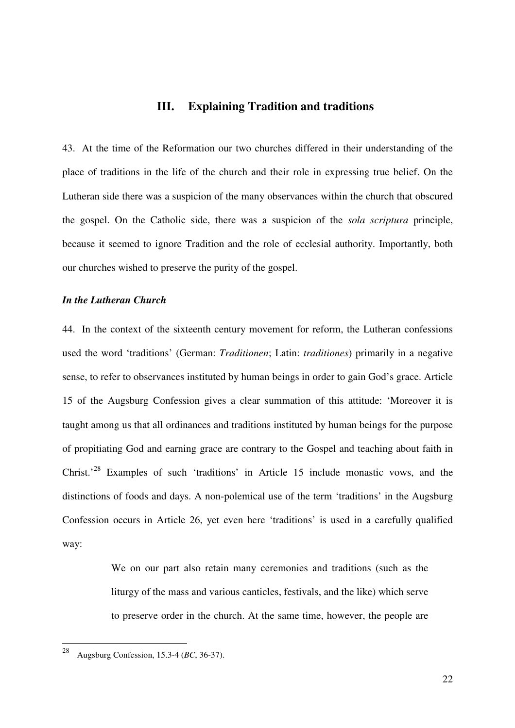### **III. Explaining Tradition and traditions**

43. At the time of the Reformation our two churches differed in their understanding of the place of traditions in the life of the church and their role in expressing true belief. On the Lutheran side there was a suspicion of the many observances within the church that obscured the gospel. On the Catholic side, there was a suspicion of the *sola scriptura* principle, because it seemed to ignore Tradition and the role of ecclesial authority. Importantly, both our churches wished to preserve the purity of the gospel.

#### *In the Lutheran Church*

44. In the context of the sixteenth century movement for reform, the Lutheran confessions used the word 'traditions' (German: *Traditionen*; Latin: *traditiones*) primarily in a negative sense, to refer to observances instituted by human beings in order to gain God's grace. Article 15 of the Augsburg Confession gives a clear summation of this attitude: 'Moreover it is taught among us that all ordinances and traditions instituted by human beings for the purpose of propitiating God and earning grace are contrary to the Gospel and teaching about faith in Christ.'<sup>28</sup> Examples of such 'traditions' in Article 15 include monastic vows, and the distinctions of foods and days. A non-polemical use of the term 'traditions' in the Augsburg Confession occurs in Article 26, yet even here 'traditions' is used in a carefully qualified way:

> We on our part also retain many ceremonies and traditions (such as the liturgy of the mass and various canticles, festivals, and the like) which serve to preserve order in the church. At the same time, however, the people are

<sup>28</sup> <sup>28</sup> Augsburg Confession, 15.3-4 (*BC*, 36-37).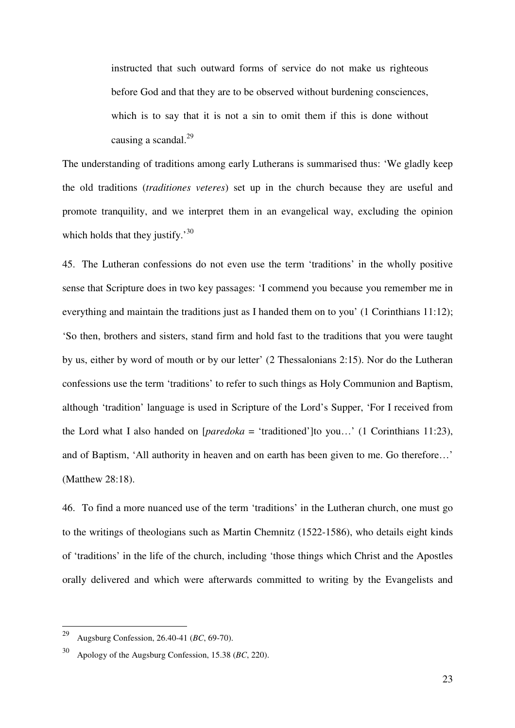instructed that such outward forms of service do not make us righteous before God and that they are to be observed without burdening consciences, which is to say that it is not a sin to omit them if this is done without causing a scandal. $^{29}$ 

The understanding of traditions among early Lutherans is summarised thus: 'We gladly keep the old traditions (*traditiones veteres*) set up in the church because they are useful and promote tranquility, and we interpret them in an evangelical way, excluding the opinion which holds that they justify.<sup>30</sup>

45. The Lutheran confessions do not even use the term 'traditions' in the wholly positive sense that Scripture does in two key passages: 'I commend you because you remember me in everything and maintain the traditions just as I handed them on to you' (1 Corinthians 11:12); 'So then, brothers and sisters, stand firm and hold fast to the traditions that you were taught by us, either by word of mouth or by our letter' (2 Thessalonians 2:15). Nor do the Lutheran confessions use the term 'traditions' to refer to such things as Holy Communion and Baptism, although 'tradition' language is used in Scripture of the Lord's Supper, 'For I received from the Lord what I also handed on  $[paredoka = 'traditioned']$ to you...' (1 Corinthians 11:23), and of Baptism, 'All authority in heaven and on earth has been given to me. Go therefore…' (Matthew 28:18).

46. To find a more nuanced use of the term 'traditions' in the Lutheran church, one must go to the writings of theologians such as Martin Chemnitz (1522-1586), who details eight kinds of 'traditions' in the life of the church, including 'those things which Christ and the Apostles orally delivered and which were afterwards committed to writing by the Evangelists and

<sup>29</sup> <sup>29</sup> Augsburg Confession, 26.40-41 (*BC*, 69-70).

<sup>30</sup>Apology of the Augsburg Confession, 15.38 (*BC*, 220).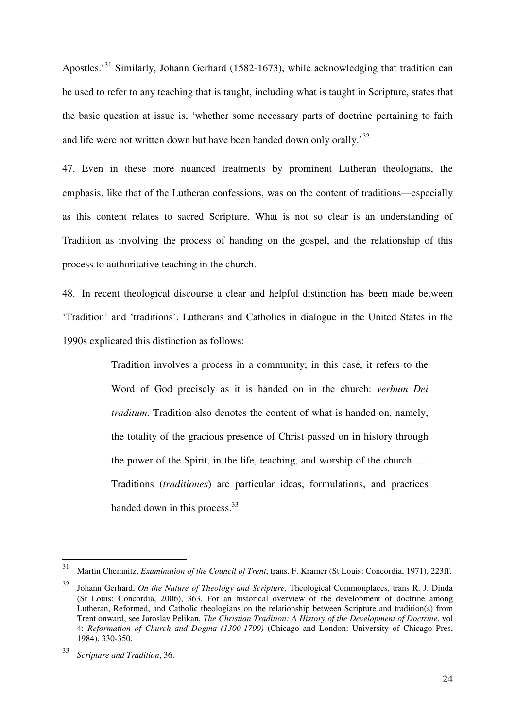Apostles.<sup>31</sup> Similarly, Johann Gerhard (1582-1673), while acknowledging that tradition can be used to refer to any teaching that is taught, including what is taught in Scripture, states that the basic question at issue is, 'whether some necessary parts of doctrine pertaining to faith and life were not written down but have been handed down only orally.<sup>32</sup>

47. Even in these more nuanced treatments by prominent Lutheran theologians, the emphasis, like that of the Lutheran confessions, was on the content of traditions—especially as this content relates to sacred Scripture. What is not so clear is an understanding of Tradition as involving the process of handing on the gospel, and the relationship of this process to authoritative teaching in the church.

48. In recent theological discourse a clear and helpful distinction has been made between 'Tradition' and 'traditions'. Lutherans and Catholics in dialogue in the United States in the 1990s explicated this distinction as follows:

> Tradition involves a process in a community; in this case, it refers to the Word of God precisely as it is handed on in the church: *verbum Dei traditum*. Tradition also denotes the content of what is handed on, namely, the totality of the gracious presence of Christ passed on in history through the power of the Spirit, in the life, teaching, and worship of the church …. Traditions (*traditiones*) are particular ideas, formulations, and practices handed down in this process.<sup>33</sup>

<sup>31</sup> <sup>31</sup> Martin Chemnitz, *Examination of the Council of Trent*, trans. F. Kramer (St Louis: Concordia, 1971), 223ff.

<sup>32</sup> Johann Gerhard, *On the Nature of Theology and Scripture*, Theological Commonplaces, trans R. J. Dinda (St Louis: Concordia, 2006), 363. For an historical overview of the development of doctrine among Lutheran, Reformed, and Catholic theologians on the relationship between Scripture and tradition(s) from Trent onward, see Jaroslav Pelikan, *The Christian Tradition: A History of the Development of Doctrine*, vol 4: *Reformation of Church and Dogma (1300-1700)* (Chicago and London: University of Chicago Pres, 1984), 330-350.

<sup>33</sup>*Scripture and Tradition*, 36.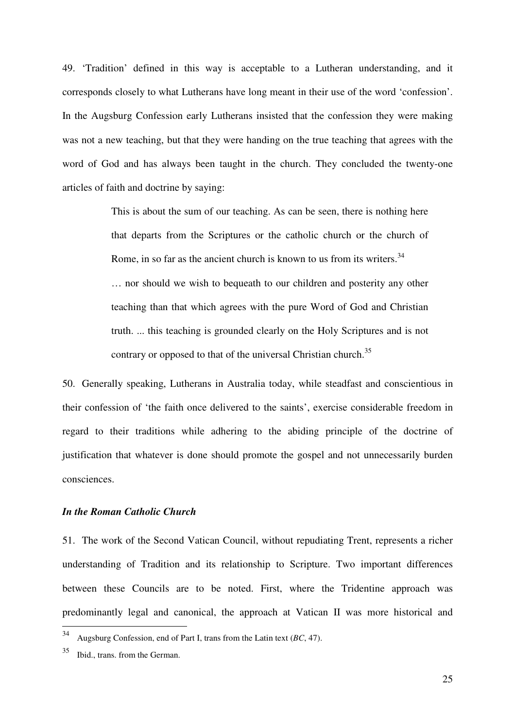49. 'Tradition' defined in this way is acceptable to a Lutheran understanding, and it corresponds closely to what Lutherans have long meant in their use of the word 'confession'. In the Augsburg Confession early Lutherans insisted that the confession they were making was not a new teaching, but that they were handing on the true teaching that agrees with the word of God and has always been taught in the church. They concluded the twenty-one articles of faith and doctrine by saying:

> This is about the sum of our teaching. As can be seen, there is nothing here that departs from the Scriptures or the catholic church or the church of Rome, in so far as the ancient church is known to us from its writers.  $34$ … nor should we wish to bequeath to our children and posterity any other teaching than that which agrees with the pure Word of God and Christian truth. ... this teaching is grounded clearly on the Holy Scriptures and is not contrary or opposed to that of the universal Christian church.<sup>35</sup>

50. Generally speaking, Lutherans in Australia today, while steadfast and conscientious in their confession of 'the faith once delivered to the saints', exercise considerable freedom in regard to their traditions while adhering to the abiding principle of the doctrine of justification that whatever is done should promote the gospel and not unnecessarily burden consciences.

#### *In the Roman Catholic Church*

51. The work of the Second Vatican Council, without repudiating Trent, represents a richer understanding of Tradition and its relationship to Scripture. Two important differences between these Councils are to be noted. First, where the Tridentine approach was predominantly legal and canonical, the approach at Vatican II was more historical and

<sup>34</sup> <sup>34</sup> Augsburg Confession, end of Part I, trans from the Latin text (*BC*, 47).

<sup>35</sup> Ibid., trans. from the German.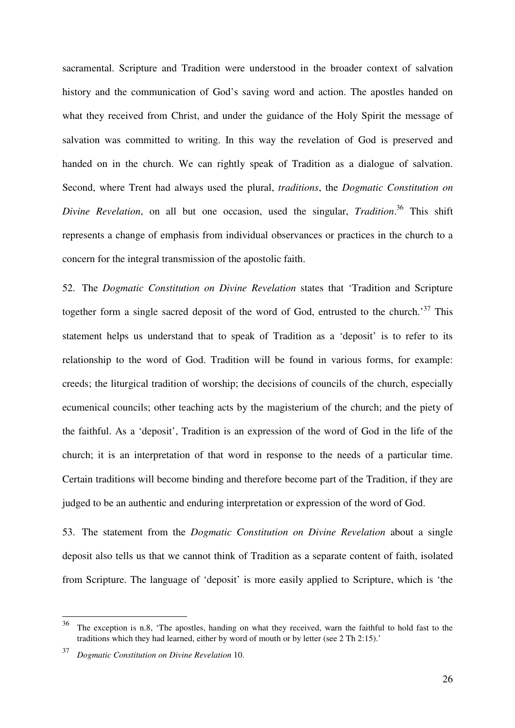sacramental. Scripture and Tradition were understood in the broader context of salvation history and the communication of God's saving word and action. The apostles handed on what they received from Christ, and under the guidance of the Holy Spirit the message of salvation was committed to writing. In this way the revelation of God is preserved and handed on in the church. We can rightly speak of Tradition as a dialogue of salvation. Second, where Trent had always used the plural, *traditions*, the *Dogmatic Constitution on Divine Revelation*, on all but one occasion, used the singular, *Tradition*. <sup>36</sup> This shift represents a change of emphasis from individual observances or practices in the church to a concern for the integral transmission of the apostolic faith.

52. The *Dogmatic Constitution on Divine Revelation* states that 'Tradition and Scripture together form a single sacred deposit of the word of God, entrusted to the church.<sup>37</sup> This statement helps us understand that to speak of Tradition as a 'deposit' is to refer to its relationship to the word of God. Tradition will be found in various forms, for example: creeds; the liturgical tradition of worship; the decisions of councils of the church, especially ecumenical councils; other teaching acts by the magisterium of the church; and the piety of the faithful. As a 'deposit', Tradition is an expression of the word of God in the life of the church; it is an interpretation of that word in response to the needs of a particular time. Certain traditions will become binding and therefore become part of the Tradition, if they are judged to be an authentic and enduring interpretation or expression of the word of God.

53. The statement from the *Dogmatic Constitution on Divine Revelation* about a single deposit also tells us that we cannot think of Tradition as a separate content of faith, isolated from Scripture. The language of 'deposit' is more easily applied to Scripture, which is 'the

 $\overline{a}$ 

<sup>&</sup>lt;sup>36</sup> The exception is n.8, 'The apostles, handing on what they received, warn the faithful to hold fast to the traditions which they had learned, either by word of mouth or by letter (see 2 Th 2:15).'

<sup>37</sup> *Dogmatic Constitution on Divine Revelation* 10.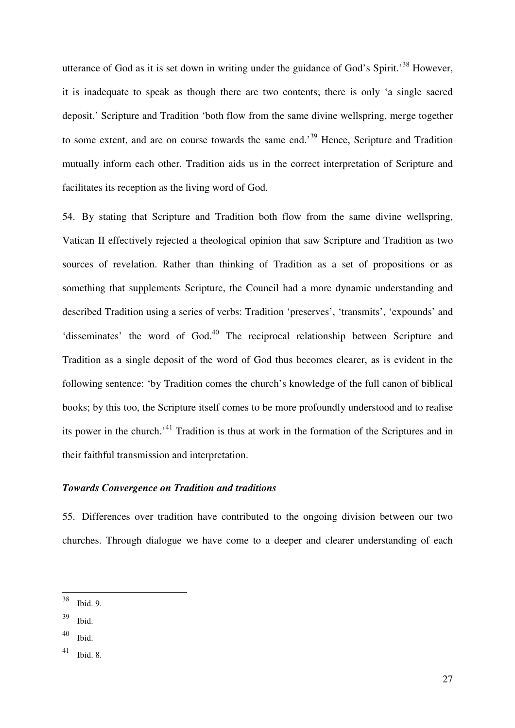utterance of God as it is set down in writing under the guidance of God's Spirit.<sup>38</sup> However, it is inadequate to speak as though there are two contents; there is only 'a single sacred deposit.' Scripture and Tradition 'both flow from the same divine wellspring, merge together to some extent, and are on course towards the same end.<sup>39</sup> Hence, Scripture and Tradition mutually inform each other. Tradition aids us in the correct interpretation of Scripture and facilitates its reception as the living word of God.

54. By stating that Scripture and Tradition both flow from the same divine wellspring, Vatican II effectively rejected a theological opinion that saw Scripture and Tradition as two sources of revelation. Rather than thinking of Tradition as a set of propositions or as something that supplements Scripture, the Council had a more dynamic understanding and described Tradition using a series of verbs: Tradition 'preserves', 'transmits', 'expounds' and 'disseminates' the word of God.<sup>40</sup> The reciprocal relationship between Scripture and Tradition as a single deposit of the word of God thus becomes clearer, as is evident in the following sentence: 'by Tradition comes the church's knowledge of the full canon of biblical books; by this too, the Scripture itself comes to be more profoundly understood and to realise its power in the church.'<sup>41</sup> Tradition is thus at work in the formation of the Scriptures and in their faithful transmission and interpretation.

#### *Towards Convergence on Tradition and traditions*

55. Differences over tradition have contributed to the ongoing division between our two churches. Through dialogue we have come to a deeper and clearer understanding of each

<sup>38</sup> Ibid. 9.

 $39$  Ibid.

 $40$  Ibid.

 $41$  Ibid. 8.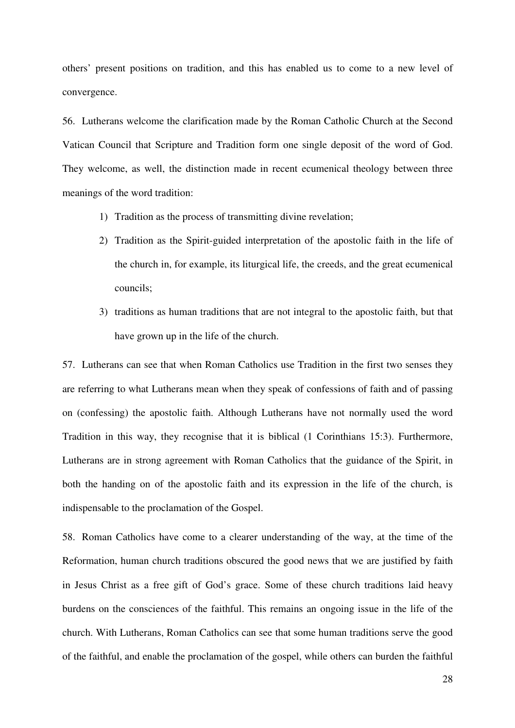others' present positions on tradition, and this has enabled us to come to a new level of convergence.

56. Lutherans welcome the clarification made by the Roman Catholic Church at the Second Vatican Council that Scripture and Tradition form one single deposit of the word of God. They welcome, as well, the distinction made in recent ecumenical theology between three meanings of the word tradition:

- 1) Tradition as the process of transmitting divine revelation;
- 2) Tradition as the Spirit-guided interpretation of the apostolic faith in the life of the church in, for example, its liturgical life, the creeds, and the great ecumenical councils;
- 3) traditions as human traditions that are not integral to the apostolic faith, but that have grown up in the life of the church.

57. Lutherans can see that when Roman Catholics use Tradition in the first two senses they are referring to what Lutherans mean when they speak of confessions of faith and of passing on (confessing) the apostolic faith. Although Lutherans have not normally used the word Tradition in this way, they recognise that it is biblical (1 Corinthians 15:3). Furthermore, Lutherans are in strong agreement with Roman Catholics that the guidance of the Spirit, in both the handing on of the apostolic faith and its expression in the life of the church, is indispensable to the proclamation of the Gospel.

58. Roman Catholics have come to a clearer understanding of the way, at the time of the Reformation, human church traditions obscured the good news that we are justified by faith in Jesus Christ as a free gift of God's grace. Some of these church traditions laid heavy burdens on the consciences of the faithful. This remains an ongoing issue in the life of the church. With Lutherans, Roman Catholics can see that some human traditions serve the good of the faithful, and enable the proclamation of the gospel, while others can burden the faithful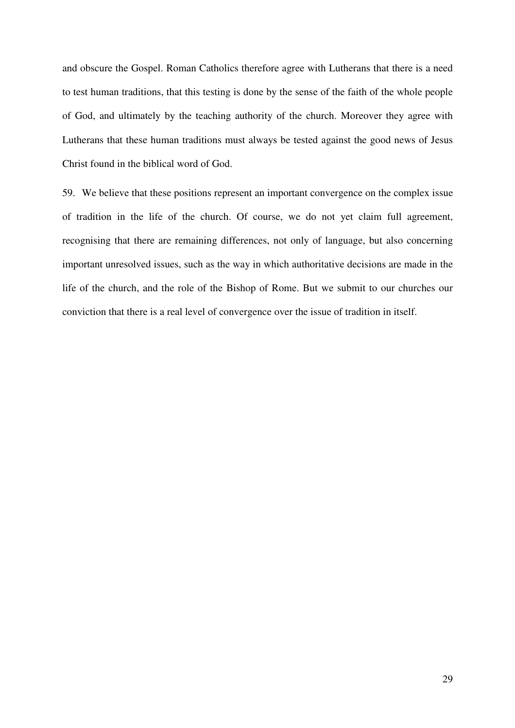and obscure the Gospel. Roman Catholics therefore agree with Lutherans that there is a need to test human traditions, that this testing is done by the sense of the faith of the whole people of God, and ultimately by the teaching authority of the church. Moreover they agree with Lutherans that these human traditions must always be tested against the good news of Jesus Christ found in the biblical word of God.

59. We believe that these positions represent an important convergence on the complex issue of tradition in the life of the church. Of course, we do not yet claim full agreement, recognising that there are remaining differences, not only of language, but also concerning important unresolved issues, such as the way in which authoritative decisions are made in the life of the church, and the role of the Bishop of Rome. But we submit to our churches our conviction that there is a real level of convergence over the issue of tradition in itself.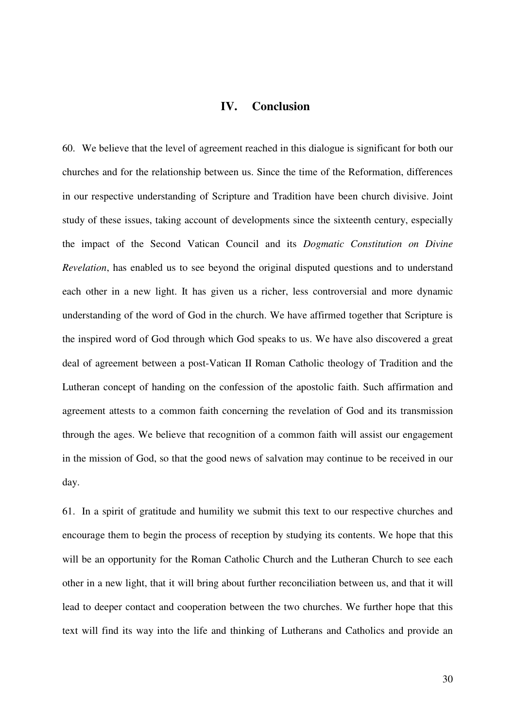#### **IV. Conclusion**

60. We believe that the level of agreement reached in this dialogue is significant for both our churches and for the relationship between us. Since the time of the Reformation, differences in our respective understanding of Scripture and Tradition have been church divisive. Joint study of these issues, taking account of developments since the sixteenth century, especially the impact of the Second Vatican Council and its *Dogmatic Constitution on Divine Revelation*, has enabled us to see beyond the original disputed questions and to understand each other in a new light. It has given us a richer, less controversial and more dynamic understanding of the word of God in the church. We have affirmed together that Scripture is the inspired word of God through which God speaks to us. We have also discovered a great deal of agreement between a post-Vatican II Roman Catholic theology of Tradition and the Lutheran concept of handing on the confession of the apostolic faith. Such affirmation and agreement attests to a common faith concerning the revelation of God and its transmission through the ages. We believe that recognition of a common faith will assist our engagement in the mission of God, so that the good news of salvation may continue to be received in our day.

61. In a spirit of gratitude and humility we submit this text to our respective churches and encourage them to begin the process of reception by studying its contents. We hope that this will be an opportunity for the Roman Catholic Church and the Lutheran Church to see each other in a new light, that it will bring about further reconciliation between us, and that it will lead to deeper contact and cooperation between the two churches. We further hope that this text will find its way into the life and thinking of Lutherans and Catholics and provide an